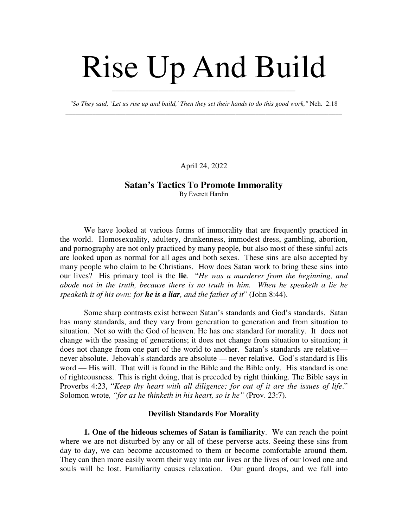## Rise Up And Build

*"So They said, `Let us rise up and build,' Then they set their hands to do this good work,"* Neh. 2:18 \_\_\_\_\_\_\_\_\_\_\_\_\_\_\_\_\_\_\_\_\_\_\_\_\_\_\_\_\_\_\_\_\_\_\_\_\_\_\_\_\_\_\_\_\_\_\_\_\_\_\_\_\_\_\_\_\_\_\_\_\_\_\_\_\_\_\_\_\_\_\_\_\_\_\_\_\_\_\_\_\_\_\_

\_\_\_\_\_\_\_\_\_\_\_\_\_\_\_\_\_\_\_\_\_\_\_\_\_\_\_\_\_\_\_\_\_\_\_\_\_\_\_\_\_\_\_\_\_\_\_\_\_\_\_\_\_\_\_

April 24, 2022

## **Satan's Tactics To Promote Immorality**

By Everett Hardin

We have looked at various forms of immorality that are frequently practiced in the world. Homosexuality, adultery, drunkenness, immodest dress, gambling, abortion, and pornography are not only practiced by many people, but also most of these sinful acts are looked upon as normal for all ages and both sexes. These sins are also accepted by many people who claim to be Christians. How does Satan work to bring these sins into our lives? His primary tool is the **lie**. "*He was a murderer from the beginning, and abode not in the truth, because there is no truth in him. When he speaketh a lie he speaketh it of his own: for he is a liar, and the father of it*" (John 8:44).

Some sharp contrasts exist between Satan's standards and God's standards. Satan has many standards, and they vary from generation to generation and from situation to situation. Not so with the God of heaven. He has one standard for morality. It does not change with the passing of generations; it does not change from situation to situation; it does not change from one part of the world to another. Satan's standards are relative never absolute. Jehovah's standards are absolute — never relative. God's standard is His word — His will. That will is found in the Bible and the Bible only. His standard is one of righteousness. This is right doing, that is preceded by right thinking. The Bible says in Proverbs 4:23, "*Keep thy heart with all diligence; for out of it are the issues of life*." Solomon wrote*, "for as he thinketh in his heart, so is he"* (Prov. 23:7).

## **Devilish Standards For Morality**

**1. One of the hideous schemes of Satan is familiarity**. We can reach the point where we are not disturbed by any or all of these perverse acts. Seeing these sins from day to day, we can become accustomed to them or become comfortable around them. They can then more easily worm their way into our lives or the lives of our loved one and souls will be lost. Familiarity causes relaxation. Our guard drops, and we fall into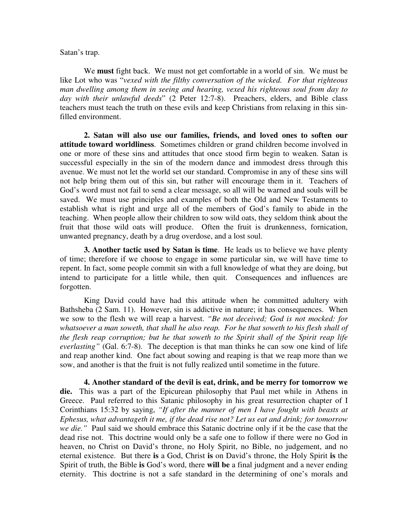Satan's trap.

We **must** fight back. We must not get comfortable in a world of sin. We must be like Lot who was "*vexed with the filthy conversation of the wicked. For that righteous man dwelling among them in seeing and hearing, vexed his righteous soul from day to* day with their unlawful deeds" (2 Peter 12:7-8). Preachers, elders, and Bible class teachers must teach the truth on these evils and keep Christians from relaxing in this sinfilled environment.

**2. Satan will also use our families, friends, and loved ones to soften our attitude toward worldliness**. Sometimes children or grand children become involved in one or more of these sins and attitudes that once stood firm begin to weaken. Satan is successful especially in the sin of the modern dance and immodest dress through this avenue. We must not let the world set our standard. Compromise in any of these sins will not help bring them out of this sin, but rather will encourage them in it. Teachers of God's word must not fail to send a clear message, so all will be warned and souls will be saved. We must use principles and examples of both the Old and New Testaments to establish what is right and urge all of the members of God's family to abide in the teaching. When people allow their children to sow wild oats, they seldom think about the fruit that those wild oats will produce. Often the fruit is drunkenness, fornication, unwanted pregnancy, death by a drug overdose, and a lost soul.

**3. Another tactic used by Satan is time**. He leads us to believe we have plenty of time; therefore if we choose to engage in some particular sin, we will have time to repent. In fact, some people commit sin with a full knowledge of what they are doing, but intend to participate for a little while, then quit. Consequences and influences are forgotten.

King David could have had this attitude when he committed adultery with Bathsheba (2 Sam. 11). However, sin is addictive in nature; it has consequences. When we sow to the flesh we will reap a harvest. *"Be not deceived; God is not mocked: for whatsoever a man soweth, that shall he also reap. For he that soweth to his flesh shall of the flesh reap corruption; but he that soweth to the Spirit shall of the Spirit reap life everlasting"* (Gal. 6:7-8). The deception is that man thinks he can sow one kind of life and reap another kind. One fact about sowing and reaping is that we reap more than we sow, and another is that the fruit is not fully realized until sometime in the future.

**4. Another standard of the devil is eat, drink, and be merry for tomorrow we die.** This was a part of the Epicurean philosophy that Paul met while in Athens in Greece. Paul referred to this Satanic philosophy in his great resurrection chapter of I Corinthians 15:32 by saying, *"If after the manner of men I have fought with beasts at Ephesus, what advantageth it me, if the dead rise not? Let us eat and drink; for tomorrow we die."* Paul said we should embrace this Satanic doctrine only if it be the case that the dead rise not. This doctrine would only be a safe one to follow if there were no God in heaven, no Christ on David's throne, no Holy Spirit, no Bible, no judgement, and no eternal existence. But there **is** a God, Christ **is** on David's throne, the Holy Spirit **is** the Spirit of truth, the Bible **is** God's word, there **will be** a final judgment and a never ending eternity. This doctrine is not a safe standard in the determining of one's morals and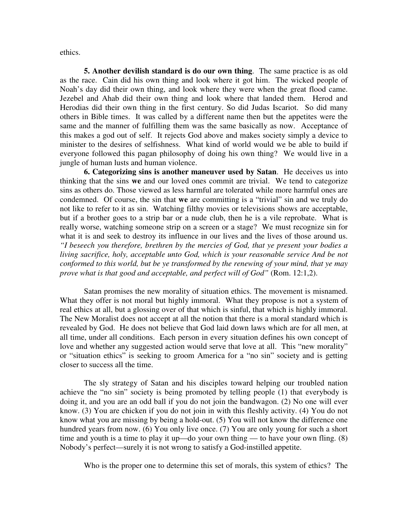ethics.

**5. Another devilish standard is do our own thing**. The same practice is as old as the race. Cain did his own thing and look where it got him. The wicked people of Noah's day did their own thing, and look where they were when the great flood came. Jezebel and Ahab did their own thing and look where that landed them. Herod and Herodias did their own thing in the first century. So did Judas Iscariot. So did many others in Bible times. It was called by a different name then but the appetites were the same and the manner of fulfilling them was the same basically as now. Acceptance of this makes a god out of self. It rejects God above and makes society simply a device to minister to the desires of selfishness. What kind of world would we be able to build if everyone followed this pagan philosophy of doing his own thing? We would live in a jungle of human lusts and human violence.

**6. Categorizing sins is another maneuver used by Satan**. He deceives us into thinking that the sins **we** and our loved ones commit are trivial. We tend to categorize sins as others do. Those viewed as less harmful are tolerated while more harmful ones are condemned. Of course, the sin that **we** are committing is a "trivial" sin and we truly do not like to refer to it as sin. Watching filthy movies or televisions shows are acceptable, but if a brother goes to a strip bar or a nude club, then he is a vile reprobate. What is really worse, watching someone strip on a screen or a stage? We must recognize sin for what it is and seek to destroy its influence in our lives and the lives of those around us. *"I beseech you therefore, brethren by the mercies of God, that ye present your bodies a living sacrifice, holy, acceptable unto God, which is your reasonable service And be not conformed to this world, but be ye transformed by the renewing of your mind, that ye may prove what is that good and acceptable, and perfect will of God"* (Rom. 12:1,2).

Satan promises the new morality of situation ethics. The movement is misnamed. What they offer is not moral but highly immoral. What they propose is not a system of real ethics at all, but a glossing over of that which is sinful, that which is highly immoral. The New Moralist does not accept at all the notion that there is a moral standard which is revealed by God. He does not believe that God laid down laws which are for all men, at all time, under all conditions. Each person in every situation defines his own concept of love and whether any suggested action would serve that love at all. This "new morality" or "situation ethics" is seeking to groom America for a "no sin" society and is getting closer to success all the time.

The sly strategy of Satan and his disciples toward helping our troubled nation achieve the "no sin" society is being promoted by telling people (1) that everybody is doing it, and you are an odd ball if you do not join the bandwagon. (2) No one will ever know. (3) You are chicken if you do not join in with this fleshly activity. (4) You do not know what you are missing by being a hold-out. (5) You will not know the difference one hundred years from now. (6) You only live once. (7) You are only young for such a short time and youth is a time to play it up—do your own thing — to have your own fling. (8) Nobody's perfect—surely it is not wrong to satisfy a God-instilled appetite.

Who is the proper one to determine this set of morals, this system of ethics? The